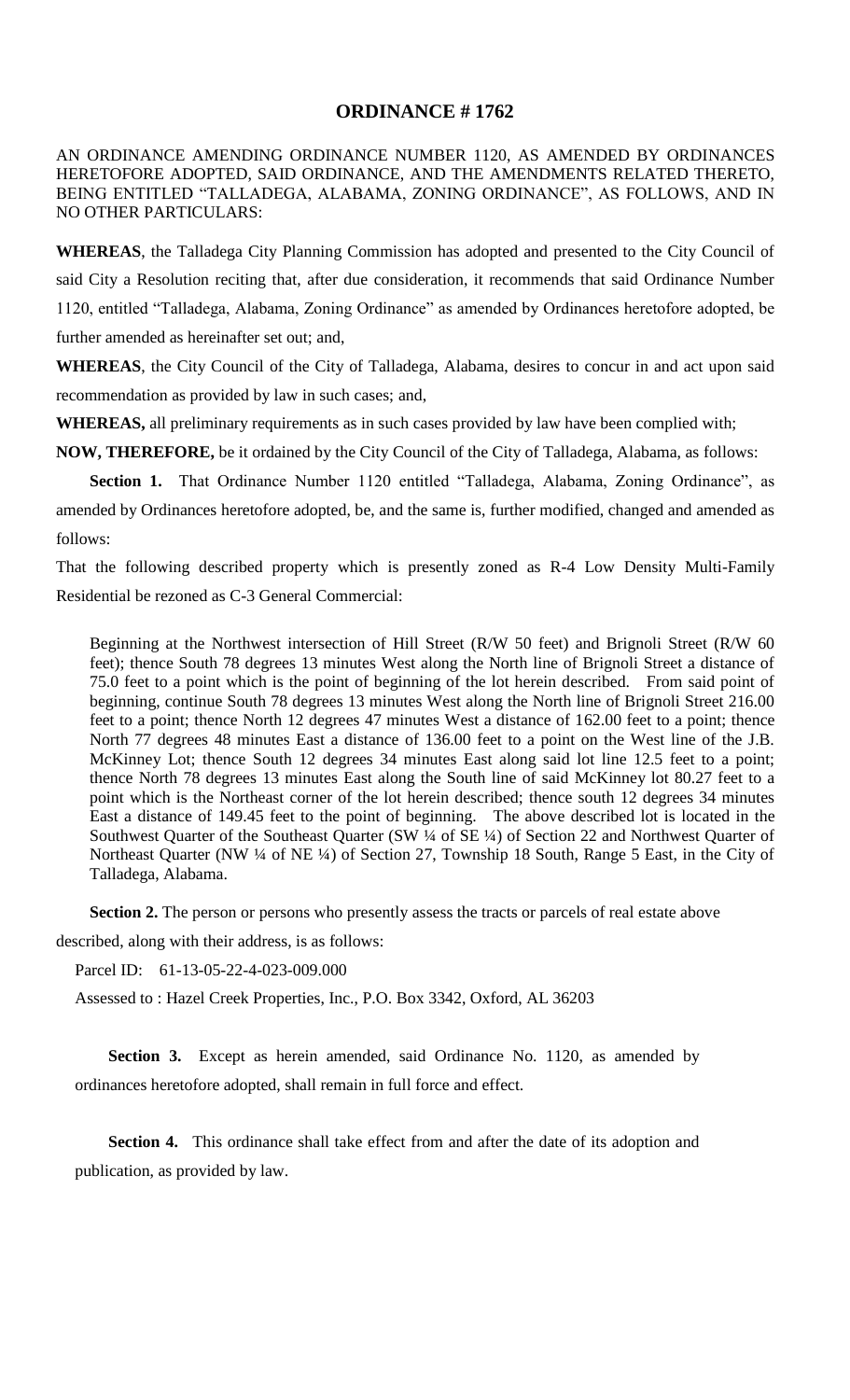## **ORDINANCE # 1762**

AN ORDINANCE AMENDING ORDINANCE NUMBER 1120, AS AMENDED BY ORDINANCES HERETOFORE ADOPTED, SAID ORDINANCE, AND THE AMENDMENTS RELATED THERETO, BEING ENTITLED "TALLADEGA, ALABAMA, ZONING ORDINANCE", AS FOLLOWS, AND IN NO OTHER PARTICULARS:

**WHEREAS**, the Talladega City Planning Commission has adopted and presented to the City Council of said City a Resolution reciting that, after due consideration, it recommends that said Ordinance Number 1120, entitled "Talladega, Alabama, Zoning Ordinance" as amended by Ordinances heretofore adopted, be further amended as hereinafter set out; and,

**WHEREAS**, the City Council of the City of Talladega, Alabama, desires to concur in and act upon said recommendation as provided by law in such cases; and,

**WHEREAS,** all preliminary requirements as in such cases provided by law have been complied with;

**NOW, THEREFORE,** be it ordained by the City Council of the City of Talladega, Alabama, as follows:

Section 1. That Ordinance Number 1120 entitled "Talladega, Alabama, Zoning Ordinance", as amended by Ordinances heretofore adopted, be, and the same is, further modified, changed and amended as follows:

That the following described property which is presently zoned as R-4 Low Density Multi-Family Residential be rezoned as C-3 General Commercial:

Beginning at the Northwest intersection of Hill Street (R/W 50 feet) and Brignoli Street (R/W 60 feet); thence South 78 degrees 13 minutes West along the North line of Brignoli Street a distance of 75.0 feet to a point which is the point of beginning of the lot herein described. From said point of beginning, continue South 78 degrees 13 minutes West along the North line of Brignoli Street 216.00 feet to a point; thence North 12 degrees 47 minutes West a distance of 162.00 feet to a point; thence North 77 degrees 48 minutes East a distance of 136.00 feet to a point on the West line of the J.B. McKinney Lot; thence South 12 degrees 34 minutes East along said lot line 12.5 feet to a point; thence North 78 degrees 13 minutes East along the South line of said McKinney lot 80.27 feet to a point which is the Northeast corner of the lot herein described; thence south 12 degrees 34 minutes East a distance of 149.45 feet to the point of beginning. The above described lot is located in the Southwest Quarter of the Southeast Quarter (SW 1/4 of SE 1/4) of Section 22 and Northwest Quarter of Northeast Quarter (NW ¼ of NE ¼) of Section 27, Township 18 South, Range 5 East, in the City of Talladega, Alabama.

**Section 2.** The person or persons who presently assess the tracts or parcels of real estate above

described, along with their address, is as follows:

Parcel ID: 61-13-05-22-4-023-009.000

Assessed to : Hazel Creek Properties, Inc., P.O. Box 3342, Oxford, AL 36203

**Section 3.** Except as herein amended, said Ordinance No. 1120, as amended by ordinances heretofore adopted, shall remain in full force and effect.

**Section 4.** This ordinance shall take effect from and after the date of its adoption and publication, as provided by law.